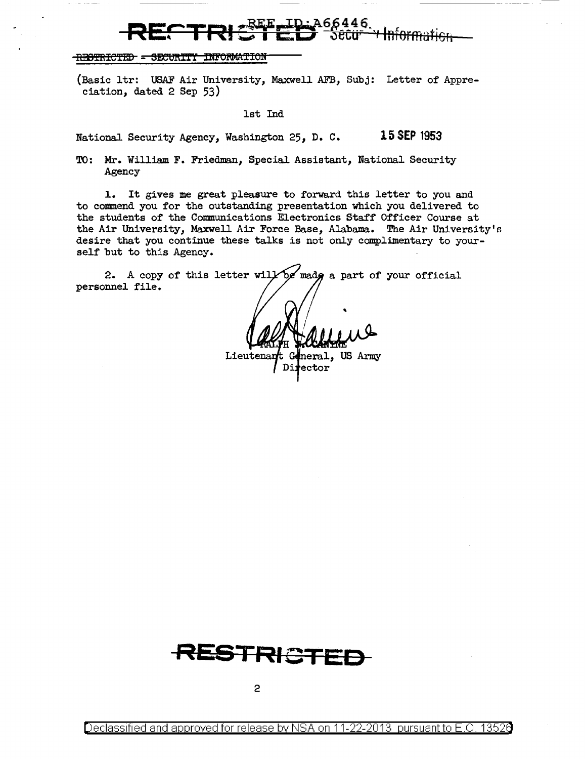## RECTRIC<sup>REE</sup> FRI 366446.

## -RESTRICTED - SECURITY INFORMATION

(Basic ltr: USAF Air University, Maxwell AFB, Subj: Letter of Appreciation, dated 2 Sep 53)

1st Ind

National Security Agency, Washington 25, D. C. 15 SEP 1953

TO: Mr. William F. Friedman, Special Assistant, National Security Agency

1. It gives me great pleasure to forward this letter to you and to commend you for the outstanding presentation which you delivered to the students of the Communications Electronics Staff Officer Course at the Air University, Maxwell Air Force Base, Alabama.. The Air University's desire that you continue these talks is not only complimentary to yourself but to this Agency.

'

neral, US Army

Director

2. A copy of this letter will be made a part of your official personnel file.

Lieutenant G

**RESTRICTED**